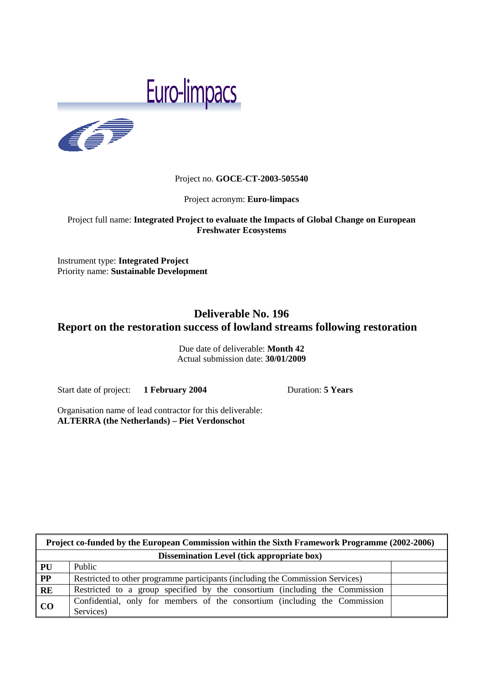# Euro-limpacs



## Project no. **GOCE-CT-2003-505540**

Project acronym: **Euro-limpacs**

## Project full name: **Integrated Project to evaluate the Impacts of Global Change on European Freshwater Ecosystems**

Instrument type: **Integrated Project** Priority name: **Sustainable Development**

## **Deliverable No. 196 Report on the restoration success of lowland streams following restoration**

Due date of deliverable: **Month 42**  Actual submission date: **30/01/2009**

Start date of project: **1 February 2004** Duration: **5 Years** 

 $\mathbf{r}$ 

Organisation name of lead contractor for this deliverable: **ALTERRA (the Netherlands) – Piet Verdonschot** 

| Project co-funded by the European Commission within the Sixth Framework Programme (2002-2006) |                                                                                         |  |
|-----------------------------------------------------------------------------------------------|-----------------------------------------------------------------------------------------|--|
| <b>Dissemination Level (tick appropriate box)</b>                                             |                                                                                         |  |
| PU                                                                                            | Public                                                                                  |  |
| $\overline{PP}$                                                                               | Restricted to other programme participants (including the Commission Services)          |  |
| RE                                                                                            | Restricted to a group specified by the consortium (including the Commission             |  |
| CO                                                                                            | Confidential, only for members of the consortium (including the Commission<br>Services) |  |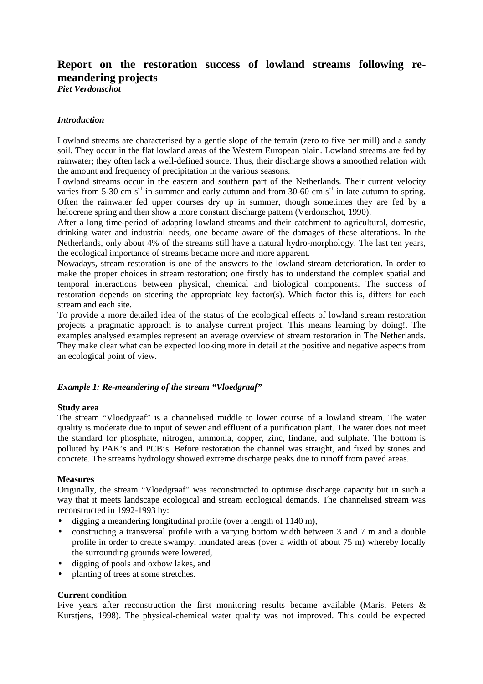# **Report on the restoration success of lowland streams following remeandering projects**

*Piet Verdonschot*

## *Introduction*

Lowland streams are characterised by a gentle slope of the terrain (zero to five per mill) and a sandy soil. They occur in the flat lowland areas of the Western European plain. Lowland streams are fed by rainwater; they often lack a well-defined source. Thus, their discharge shows a smoothed relation with the amount and frequency of precipitation in the various seasons.

Lowland streams occur in the eastern and southern part of the Netherlands. Their current velocity varies from 5-30 cm s<sup>-1</sup> in summer and early autumn and from 30-60 cm s<sup>-1</sup> in late autumn to spring. Often the rainwater fed upper courses dry up in summer, though sometimes they are fed by a helocrene spring and then show a more constant discharge pattern (Verdonschot, 1990).

After a long time-period of adapting lowland streams and their catchment to agricultural, domestic, drinking water and industrial needs, one became aware of the damages of these alterations. In the Netherlands, only about 4% of the streams still have a natural hydro-morphology. The last ten years, the ecological importance of streams became more and more apparent.

Nowadays, stream restoration is one of the answers to the lowland stream deterioration. In order to make the proper choices in stream restoration; one firstly has to understand the complex spatial and temporal interactions between physical, chemical and biological components. The success of restoration depends on steering the appropriate key factor(s). Which factor this is, differs for each stream and each site.

To provide a more detailed idea of the status of the ecological effects of lowland stream restoration projects a pragmatic approach is to analyse current project. This means learning by doing!. The examples analysed examples represent an average overview of stream restoration in The Netherlands. They make clear what can be expected looking more in detail at the positive and negative aspects from an ecological point of view.

## *Example 1: Re-meandering of the stream "Vloedgraaf"*

## **Study area**

The stream "Vloedgraaf" is a channelised middle to lower course of a lowland stream. The water quality is moderate due to input of sewer and effluent of a purification plant. The water does not meet the standard for phosphate, nitrogen, ammonia, copper, zinc, lindane, and sulphate. The bottom is polluted by PAK's and PCB's. Before restoration the channel was straight, and fixed by stones and concrete. The streams hydrology showed extreme discharge peaks due to runoff from paved areas.

## **Measures**

Originally, the stream "Vloedgraaf" was reconstructed to optimise discharge capacity but in such a way that it meets landscape ecological and stream ecological demands. The channelised stream was reconstructed in 1992-1993 by:

- digging a meandering longitudinal profile (over a length of 1140 m),
- constructing a transversal profile with a varying bottom width between 3 and 7 m and a double profile in order to create swampy, inundated areas (over a width of about 75 m) whereby locally the surrounding grounds were lowered,
- digging of pools and oxbow lakes, and
- planting of trees at some stretches.

## **Current condition**

Five years after reconstruction the first monitoring results became available (Maris, Peters & Kurstjens, 1998). The physical-chemical water quality was not improved. This could be expected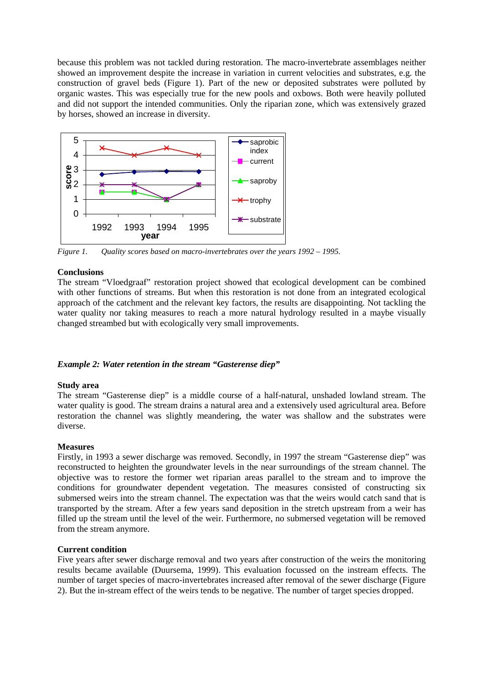because this problem was not tackled during restoration. The macro-invertebrate assemblages neither showed an improvement despite the increase in variation in current velocities and substrates, e.g. the construction of gravel beds (Figure 1). Part of the new or deposited substrates were polluted by organic wastes. This was especially true for the new pools and oxbows. Both were heavily polluted and did not support the intended communities. Only the riparian zone, which was extensively grazed by horses, showed an increase in diversity.



*Figure 1. Quality scores based on macro-invertebrates over the years 1992 – 1995.* 

## **Conclusions**

The stream "Vloedgraaf" restoration project showed that ecological development can be combined with other functions of streams. But when this restoration is not done from an integrated ecological approach of the catchment and the relevant key factors, the results are disappointing. Not tackling the water quality nor taking measures to reach a more natural hydrology resulted in a maybe visually changed streambed but with ecologically very small improvements.

## *Example 2: Water retention in the stream "Gasterense diep"*

## **Study area**

The stream "Gasterense diep" is a middle course of a half-natural, unshaded lowland stream. The water quality is good. The stream drains a natural area and a extensively used agricultural area. Before restoration the channel was slightly meandering, the water was shallow and the substrates were diverse.

## **Measures**

Firstly, in 1993 a sewer discharge was removed. Secondly, in 1997 the stream "Gasterense diep" was reconstructed to heighten the groundwater levels in the near surroundings of the stream channel. The objective was to restore the former wet riparian areas parallel to the stream and to improve the conditions for groundwater dependent vegetation. The measures consisted of constructing six submersed weirs into the stream channel. The expectation was that the weirs would catch sand that is transported by the stream. After a few years sand deposition in the stretch upstream from a weir has filled up the stream until the level of the weir. Furthermore, no submersed vegetation will be removed from the stream anymore.

## **Current condition**

Five years after sewer discharge removal and two years after construction of the weirs the monitoring results became available (Duursema, 1999). This evaluation focussed on the instream effects. The number of target species of macro-invertebrates increased after removal of the sewer discharge (Figure 2). But the in-stream effect of the weirs tends to be negative. The number of target species dropped.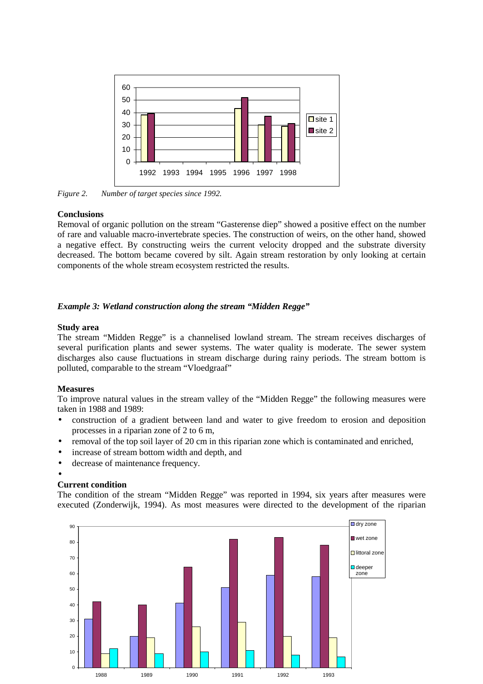

*Figure 2. Number of target species since 1992.* 

## **Conclusions**

Removal of organic pollution on the stream "Gasterense diep" showed a positive effect on the number of rare and valuable macro-invertebrate species. The construction of weirs, on the other hand, showed a negative effect. By constructing weirs the current velocity dropped and the substrate diversity decreased. The bottom became covered by silt. Again stream restoration by only looking at certain components of the whole stream ecosystem restricted the results.

## *Example 3: Wetland construction along the stream "Midden Regge"*

## **Study area**

The stream "Midden Regge" is a channelised lowland stream. The stream receives discharges of several purification plants and sewer systems. The water quality is moderate. The sewer system discharges also cause fluctuations in stream discharge during rainy periods. The stream bottom is polluted, comparable to the stream "Vloedgraaf"

## **Measures**

To improve natural values in the stream valley of the "Midden Regge" the following measures were taken in 1988 and 1989:

- construction of a gradient between land and water to give freedom to erosion and deposition processes in a riparian zone of 2 to 6 m,
- removal of the top soil layer of 20 cm in this riparian zone which is contaminated and enriched,
- increase of stream bottom width and depth, and
- decrease of maintenance frequency.

## •

## **Current condition**

The condition of the stream "Midden Regge" was reported in 1994, six years after measures were executed (Zonderwijk, 1994). As most measures were directed to the development of the riparian

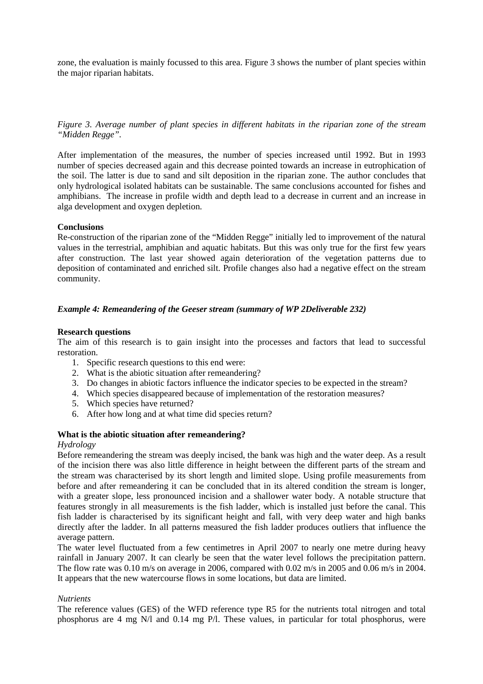zone, the evaluation is mainly focussed to this area. Figure 3 shows the number of plant species within the major riparian habitats.

*Figure 3. Average number of plant species in different habitats in the riparian zone of the stream "Midden Regge".* 

After implementation of the measures, the number of species increased until 1992. But in 1993 number of species decreased again and this decrease pointed towards an increase in eutrophication of the soil. The latter is due to sand and silt deposition in the riparian zone. The author concludes that only hydrological isolated habitats can be sustainable. The same conclusions accounted for fishes and amphibians. The increase in profile width and depth lead to a decrease in current and an increase in alga development and oxygen depletion.

### **Conclusions**

Re-construction of the riparian zone of the "Midden Regge" initially led to improvement of the natural values in the terrestrial, amphibian and aquatic habitats. But this was only true for the first few years after construction. The last year showed again deterioration of the vegetation patterns due to deposition of contaminated and enriched silt. Profile changes also had a negative effect on the stream community.

## *Example 4: Remeandering of the Geeser stream (summary of WP 2Deliverable 232)*

#### **Research questions**

The aim of this research is to gain insight into the processes and factors that lead to successful restoration.

- 1. Specific research questions to this end were:
- 2. What is the abiotic situation after remeandering?
- 3. Do changes in abiotic factors influence the indicator species to be expected in the stream?
- 4. Which species disappeared because of implementation of the restoration measures?
- 5. Which species have returned?
- 6. After how long and at what time did species return?

#### **What is the abiotic situation after remeandering?**

#### *Hydrology*

Before remeandering the stream was deeply incised, the bank was high and the water deep. As a result of the incision there was also little difference in height between the different parts of the stream and the stream was characterised by its short length and limited slope. Using profile measurements from before and after remeandering it can be concluded that in its altered condition the stream is longer, with a greater slope, less pronounced incision and a shallower water body. A notable structure that features strongly in all measurements is the fish ladder, which is installed just before the canal. This fish ladder is characterised by its significant height and fall, with very deep water and high banks directly after the ladder. In all patterns measured the fish ladder produces outliers that influence the average pattern.

The water level fluctuated from a few centimetres in April 2007 to nearly one metre during heavy rainfall in January 2007. It can clearly be seen that the water level follows the precipitation pattern. The flow rate was 0.10 m/s on average in 2006, compared with 0.02 m/s in 2005 and 0.06 m/s in 2004. It appears that the new watercourse flows in some locations, but data are limited.

#### *Nutrients*

The reference values (GES) of the WFD reference type R5 for the nutrients total nitrogen and total phosphorus are 4 mg N/l and 0.14 mg P/l. These values, in particular for total phosphorus, were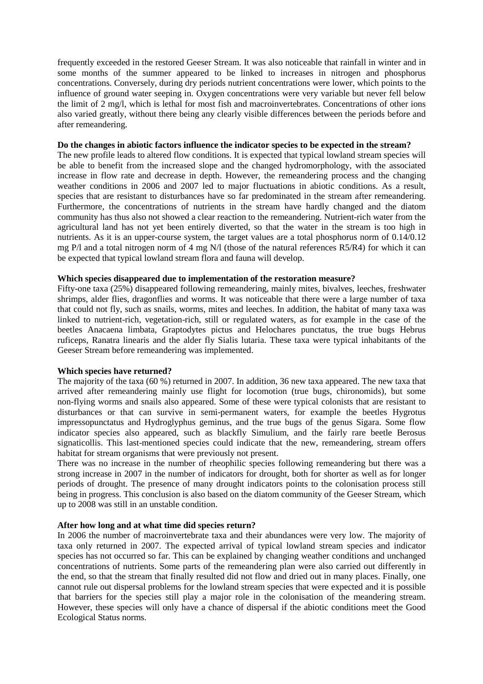frequently exceeded in the restored Geeser Stream. It was also noticeable that rainfall in winter and in some months of the summer appeared to be linked to increases in nitrogen and phosphorus concentrations. Conversely, during dry periods nutrient concentrations were lower, which points to the influence of ground water seeping in. Oxygen concentrations were very variable but never fell below the limit of 2 mg/l, which is lethal for most fish and macroinvertebrates. Concentrations of other ions also varied greatly, without there being any clearly visible differences between the periods before and after remeandering.

#### **Do the changes in abiotic factors influence the indicator species to be expected in the stream?**

The new profile leads to altered flow conditions. It is expected that typical lowland stream species will be able to benefit from the increased slope and the changed hydromorphology, with the associated increase in flow rate and decrease in depth. However, the remeandering process and the changing weather conditions in 2006 and 2007 led to major fluctuations in abiotic conditions. As a result, species that are resistant to disturbances have so far predominated in the stream after remeandering. Furthermore, the concentrations of nutrients in the stream have hardly changed and the diatom community has thus also not showed a clear reaction to the remeandering. Nutrient-rich water from the agricultural land has not yet been entirely diverted, so that the water in the stream is too high in nutrients. As it is an upper-course system, the target values are a total phosphorus norm of 0.14/0.12 mg P/l and a total nitrogen norm of 4 mg N/l (those of the natural references R5/R4) for which it can be expected that typical lowland stream flora and fauna will develop.

#### **Which species disappeared due to implementation of the restoration measure?**

Fifty-one taxa (25%) disappeared following remeandering, mainly mites, bivalves, leeches, freshwater shrimps, alder flies, dragonflies and worms. It was noticeable that there were a large number of taxa that could not fly, such as snails, worms, mites and leeches. In addition, the habitat of many taxa was linked to nutrient-rich, vegetation-rich, still or regulated waters, as for example in the case of the beetles Anacaena limbata, Graptodytes pictus and Helochares punctatus, the true bugs Hebrus ruficeps, Ranatra linearis and the alder fly Sialis lutaria. These taxa were typical inhabitants of the Geeser Stream before remeandering was implemented.

#### **Which species have returned?**

The majority of the taxa (60 %) returned in 2007. In addition, 36 new taxa appeared. The new taxa that arrived after remeandering mainly use flight for locomotion (true bugs, chironomids), but some non-flying worms and snails also appeared. Some of these were typical colonists that are resistant to disturbances or that can survive in semi-permanent waters, for example the beetles Hygrotus impressopunctatus and Hydroglyphus geminus, and the true bugs of the genus Sigara. Some flow indicator species also appeared, such as blackfly Simulium, and the fairly rare beetle Berosus signaticollis. This last-mentioned species could indicate that the new, remeandering, stream offers habitat for stream organisms that were previously not present.

There was no increase in the number of rheophilic species following remeandering but there was a strong increase in 2007 in the number of indicators for drought, both for shorter as well as for longer periods of drought. The presence of many drought indicators points to the colonisation process still being in progress. This conclusion is also based on the diatom community of the Geeser Stream, which up to 2008 was still in an unstable condition.

#### **After how long and at what time did species return?**

In 2006 the number of macroinvertebrate taxa and their abundances were very low. The majority of taxa only returned in 2007. The expected arrival of typical lowland stream species and indicator species has not occurred so far. This can be explained by changing weather conditions and unchanged concentrations of nutrients. Some parts of the remeandering plan were also carried out differently in the end, so that the stream that finally resulted did not flow and dried out in many places. Finally, one cannot rule out dispersal problems for the lowland stream species that were expected and it is possible that barriers for the species still play a major role in the colonisation of the meandering stream. However, these species will only have a chance of dispersal if the abiotic conditions meet the Good Ecological Status norms.